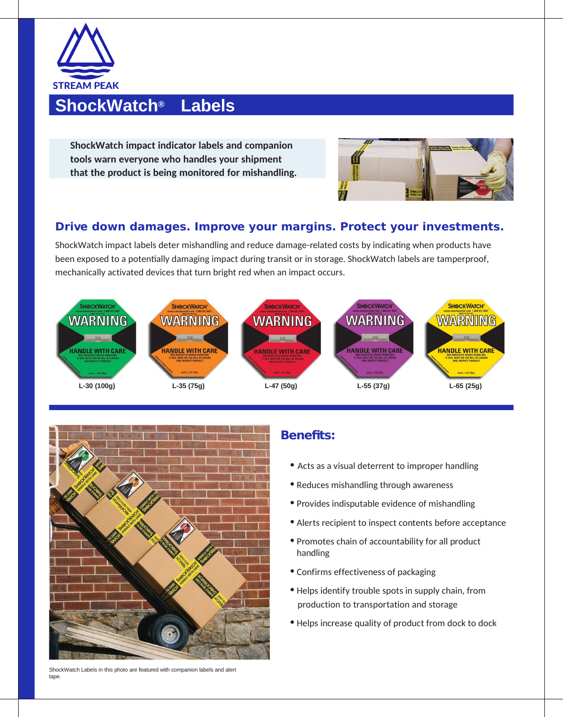

# **ShockWatch® Labels**

**ShockWatch impact indicator labels and companion tools warn everyone who handles your shipment that the product is being monitored for mishandling.**



#### **Drive down damages. Improve your margins. Protect your investments.**

ShockWatch impact labels deter mishandling and reduce damage-related costs by indicating when products have been exposed to a potentially damaging impact during transit or in storage. ShockWatch labels are tamperproof, mechanically activated devices that turn bright red when an impact occurs.





#### **Benefits:**

- Acts as a visual deterrent to improper handling
- Reduces mishandling through awareness
- Provides indisputable evidence of mishandling
- Alerts recipient to inspect contents before acceptance
- Promotes chain of accountability for all product handling
- Confirms effectiveness of packaging
- Helps identify trouble spots in supply chain, from production to transportation and storage
- Helps increase quality of product from dock to dock

ShockWatch Labels in this photo are featured with companion labels and alert tape.